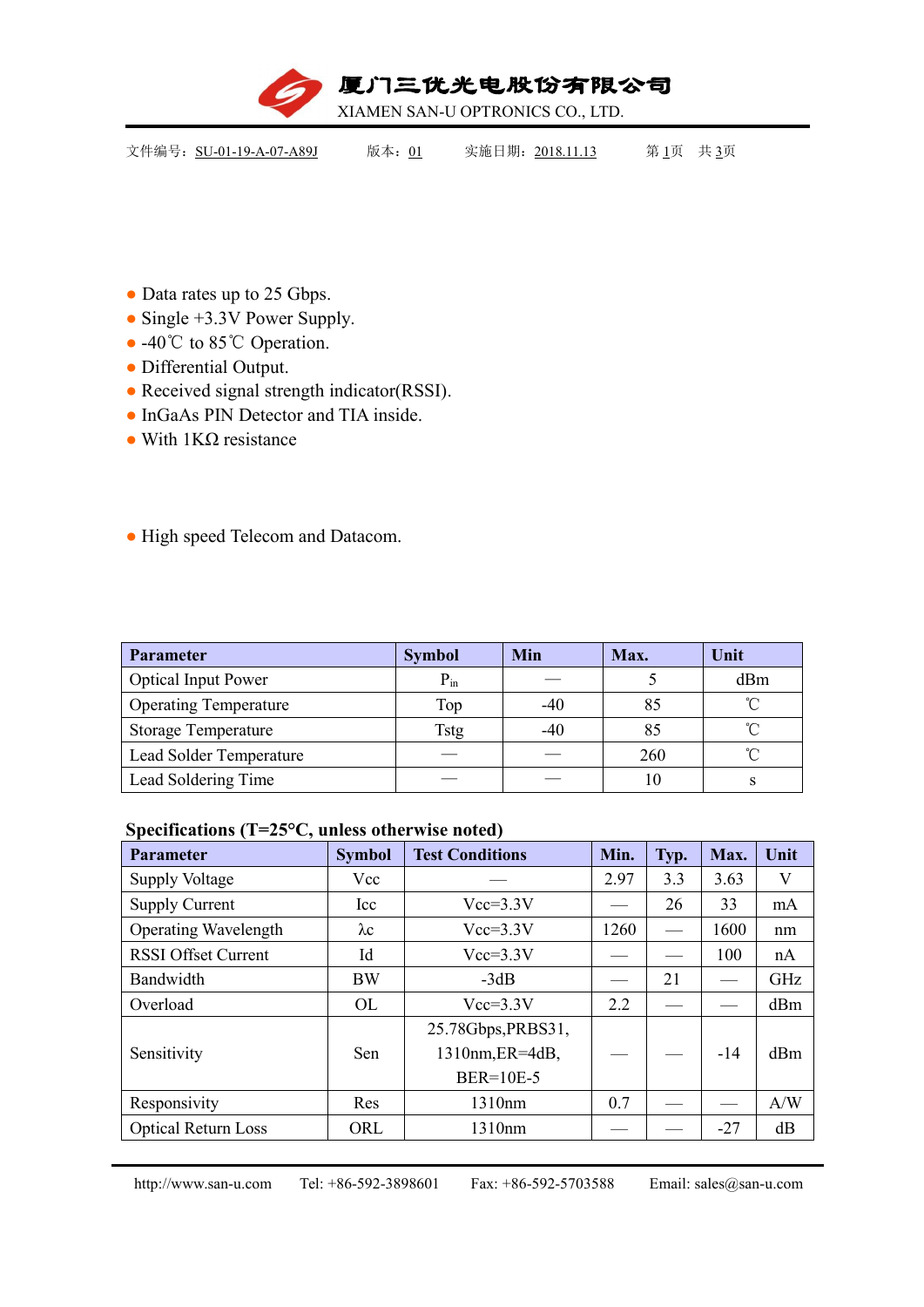

| 文件编号: SU-01-19-A-07-A89J<br>实施日期: 2018.11.13<br>第1页 共3页<br>版本: 01 |
|-------------------------------------------------------------------|
|-------------------------------------------------------------------|

- Data rates up to 25 Gbps.
- Single +3.3V Power Supply.
- -40℃ to 85℃ Operation.
- Differential Output.
- Received signal strength indicator(RSSI).
- InGaAs PIN Detector and TIA inside.
- $\bullet$  With 1KΩ resistance

## ● High speed Telecom and Datacom.

| Parameter                      | <b>Symbol</b> | <b>Min</b> | Max. | Unit     |
|--------------------------------|---------------|------------|------|----------|
| <b>Optical Input Power</b>     | $P_{in}$      |            |      | dBm      |
| <b>Operating Temperature</b>   | Top           | -40        | 85   | $\gamma$ |
| <b>Storage Temperature</b>     | Tstg          | $-40$      | 85   | $\sim$   |
| <b>Lead Solder Temperature</b> |               |            | 260  | $\sim$   |
| Lead Soldering Time            |               |            | 10   |          |

### **Specifications (T=25°C, unless otherwise noted)**

| <b>Parameter</b>            | <b>Symbol</b> | <b>Test Conditions</b>                | Min. | Typ.                     | Max.  | Unit |
|-----------------------------|---------------|---------------------------------------|------|--------------------------|-------|------|
| <b>Supply Voltage</b>       | Vcc           |                                       | 2.97 | 3.3                      | 3.63  | V    |
| <b>Supply Current</b>       | Icc           | $Vcc=3.3V$                            |      | 26                       | 33    | mA   |
| <b>Operating Wavelength</b> | $\lambda c$   | $Vcc=3.3V$                            | 1260 | $\overline{\phantom{m}}$ | 1600  | nm   |
| <b>RSSI Offset Current</b>  | Id            | $Vcc=3.3V$                            |      |                          | 100   | nA   |
| Bandwidth                   | <b>BW</b>     | $-3dB$                                |      | 21                       |       | GHz  |
| Overload                    | OL            | $Vcc=3.3V$                            | 2.2  |                          |       | dBm  |
| Sensitivity                 | Sen           | 25.78Gbps, PRBS31,<br>1310nm, ER=4dB, |      |                          | $-14$ | dBm  |
|                             |               | <b>BER=10E-5</b>                      |      |                          |       |      |
| Responsivity                | Res           | 1310nm                                | 0.7  |                          |       | A/W  |
| <b>Optical Return Loss</b>  | ORL           | 1310nm                                |      |                          | $-27$ | dB   |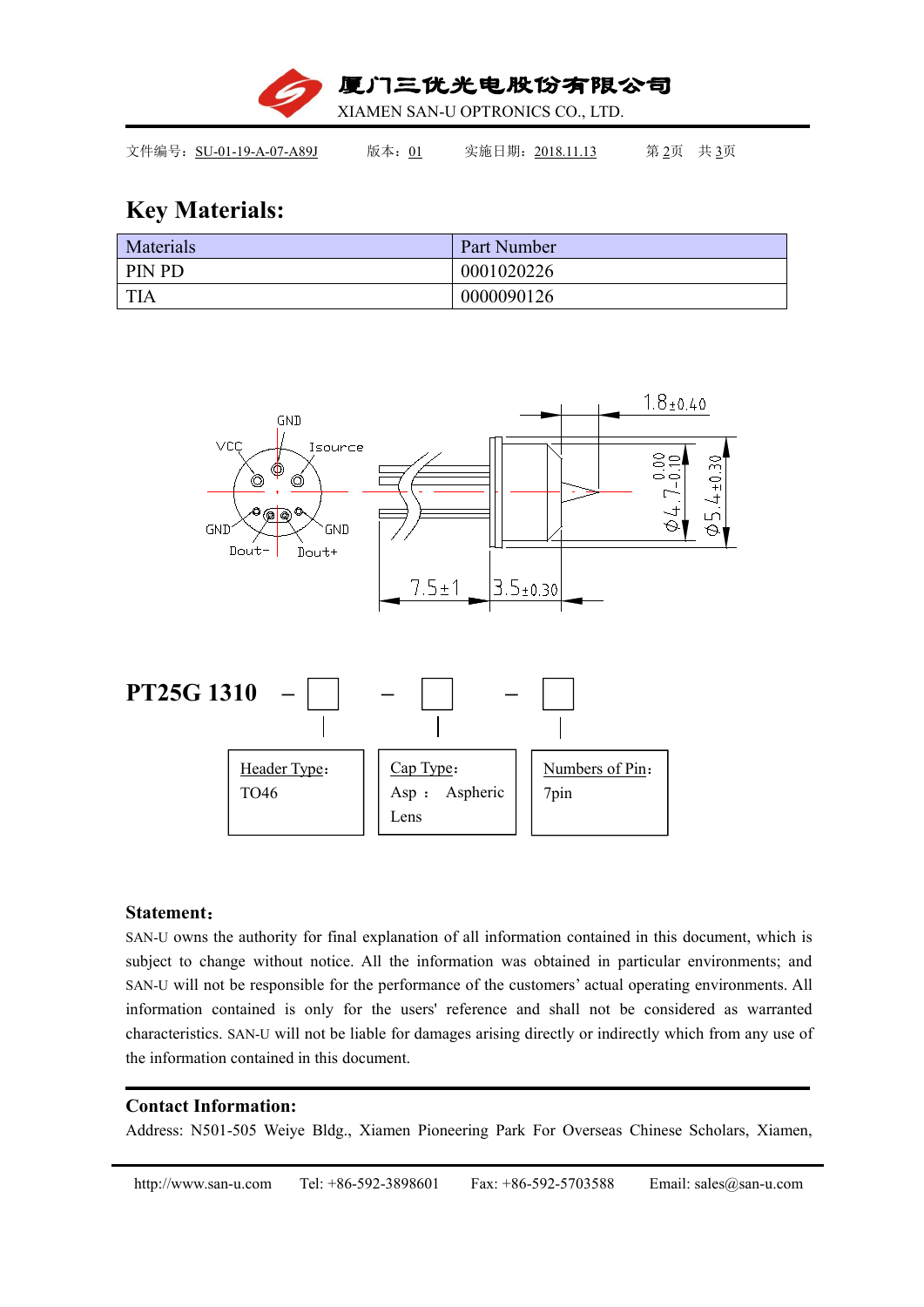

文件编号: SU-01-19-A-07-A89J 版本: 01 实施日期: 2018.11.13 第 2页 共 3页

# **Key Materials:**

| Materials | Part Number |
|-----------|-------------|
| PIN PD    | 0001020226  |
| TIA       | 0000090126  |



### **Statement**:

SAN-U owns the authority for final explanation of all information contained in this document, which is subject to change without notice. All the information was obtained in particular environments; and SAN-U will not be responsible for the performance of the customers' actual operating environments. All information contained is only for the users' reference and shall not be considered as warranted characteristics. SAN-U will not be liable for damages arising directly or indirectly which from any use of the information contained in this document.

### **Contact Information:**

Address: N501-505 Weiye Bldg., Xiamen Pioneering Park For Overseas Chinese Scholars, Xiamen,